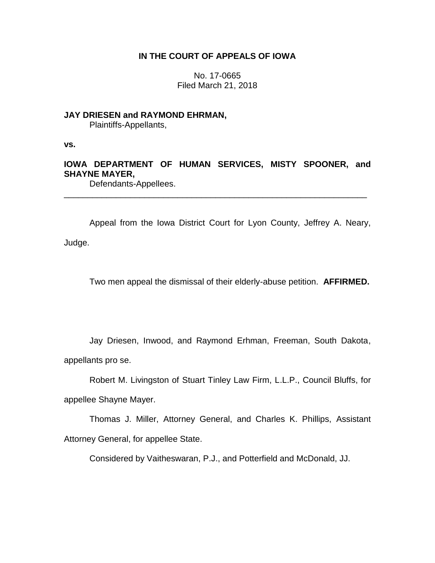# **IN THE COURT OF APPEALS OF IOWA**

No. 17-0665 Filed March 21, 2018

## **JAY DRIESEN and RAYMOND EHRMAN,**

Plaintiffs-Appellants,

**vs.**

# **IOWA DEPARTMENT OF HUMAN SERVICES, MISTY SPOONER, and SHAYNE MAYER,**

\_\_\_\_\_\_\_\_\_\_\_\_\_\_\_\_\_\_\_\_\_\_\_\_\_\_\_\_\_\_\_\_\_\_\_\_\_\_\_\_\_\_\_\_\_\_\_\_\_\_\_\_\_\_\_\_\_\_\_\_\_\_\_\_

Defendants-Appellees.

Appeal from the Iowa District Court for Lyon County, Jeffrey A. Neary, Judge.

Two men appeal the dismissal of their elderly-abuse petition. **AFFIRMED.**

Jay Driesen, Inwood, and Raymond Erhman, Freeman, South Dakota, appellants pro se.

Robert M. Livingston of Stuart Tinley Law Firm, L.L.P., Council Bluffs, for appellee Shayne Mayer.

Thomas J. Miller, Attorney General, and Charles K. Phillips, Assistant Attorney General, for appellee State.

Considered by Vaitheswaran, P.J., and Potterfield and McDonald, JJ.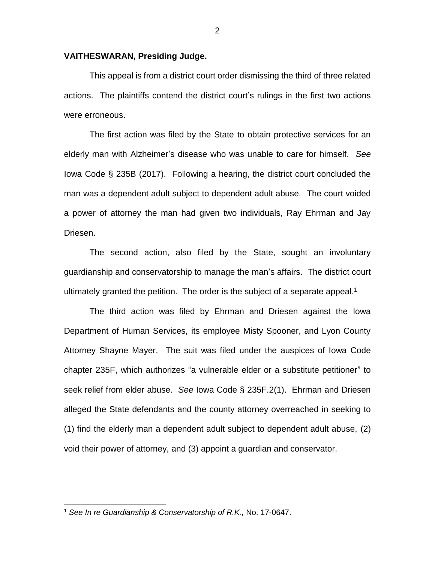#### **VAITHESWARAN, Presiding Judge.**

This appeal is from a district court order dismissing the third of three related actions. The plaintiffs contend the district court's rulings in the first two actions were erroneous.

The first action was filed by the State to obtain protective services for an elderly man with Alzheimer's disease who was unable to care for himself. *See* Iowa Code § 235B (2017). Following a hearing, the district court concluded the man was a dependent adult subject to dependent adult abuse. The court voided a power of attorney the man had given two individuals, Ray Ehrman and Jay Driesen.

The second action, also filed by the State, sought an involuntary guardianship and conservatorship to manage the man's affairs. The district court ultimately granted the petition. The order is the subject of a separate appeal.<sup>1</sup>

The third action was filed by Ehrman and Driesen against the Iowa Department of Human Services, its employee Misty Spooner, and Lyon County Attorney Shayne Mayer. The suit was filed under the auspices of Iowa Code chapter 235F, which authorizes "a vulnerable elder or a substitute petitioner" to seek relief from elder abuse. *See* Iowa Code § 235F.2(1). Ehrman and Driesen alleged the State defendants and the county attorney overreached in seeking to (1) find the elderly man a dependent adult subject to dependent adult abuse, (2) void their power of attorney, and (3) appoint a guardian and conservator.

 $\overline{a}$ 

<sup>1</sup> *See In re Guardianship & Conservatorship of R.K.,* No. 17-0647.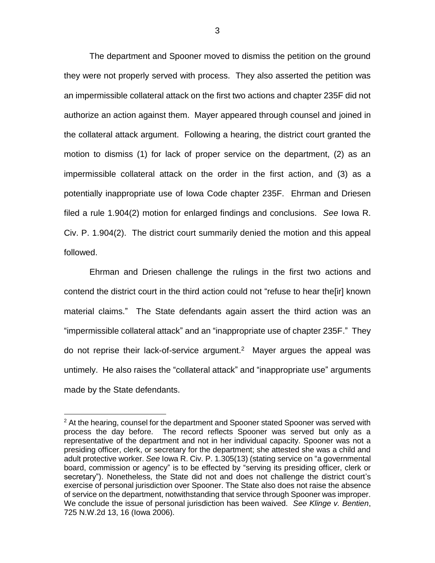The department and Spooner moved to dismiss the petition on the ground they were not properly served with process. They also asserted the petition was an impermissible collateral attack on the first two actions and chapter 235F did not authorize an action against them. Mayer appeared through counsel and joined in the collateral attack argument. Following a hearing, the district court granted the motion to dismiss (1) for lack of proper service on the department, (2) as an impermissible collateral attack on the order in the first action, and (3) as a potentially inappropriate use of Iowa Code chapter 235F. Ehrman and Driesen filed a rule 1.904(2) motion for enlarged findings and conclusions. *See* Iowa R. Civ. P. 1.904(2). The district court summarily denied the motion and this appeal followed.

Ehrman and Driesen challenge the rulings in the first two actions and contend the district court in the third action could not "refuse to hear the[ir] known material claims." The State defendants again assert the third action was an "impermissible collateral attack" and an "inappropriate use of chapter 235F." They do not reprise their lack-of-service argument.<sup>2</sup> Mayer argues the appeal was untimely. He also raises the "collateral attack" and "inappropriate use" arguments made by the State defendants.

 $\overline{a}$ 

 $2$  At the hearing, counsel for the department and Spooner stated Spooner was served with process the day before. The record reflects Spooner was served but only as a representative of the department and not in her individual capacity. Spooner was not a presiding officer, clerk, or secretary for the department; she attested she was a child and adult protective worker. *See* Iowa R. Civ. P. 1.305(13) (stating service on "a governmental board, commission or agency" is to be effected by "serving its presiding officer, clerk or secretary"). Nonetheless, the State did not and does not challenge the district court's exercise of personal jurisdiction over Spooner. The State also does not raise the absence of service on the department, notwithstanding that service through Spooner was improper. We conclude the issue of personal jurisdiction has been waived. *See Klinge v. Bentien*, 725 N.W.2d 13, 16 (Iowa 2006).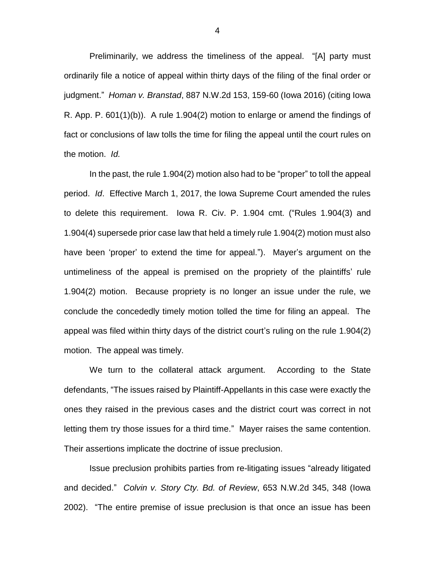Preliminarily, we address the timeliness of the appeal. "[A] party must ordinarily file a notice of appeal within thirty days of the filing of the final order or judgment." *Homan v. Branstad*, 887 N.W.2d 153, 159-60 (Iowa 2016) (citing Iowa R. App. P. 601(1)(b)). A rule 1.904(2) motion to enlarge or amend the findings of fact or conclusions of law tolls the time for filing the appeal until the court rules on the motion. *Id.*

In the past, the rule 1.904(2) motion also had to be "proper" to toll the appeal period. *Id*. Effective March 1, 2017, the Iowa Supreme Court amended the rules to delete this requirement. Iowa R. Civ. P. 1.904 cmt. ("Rules 1.904(3) and 1.904(4) supersede prior case law that held a timely rule 1.904(2) motion must also have been 'proper' to extend the time for appeal."). Mayer's argument on the untimeliness of the appeal is premised on the propriety of the plaintiffs' rule 1.904(2) motion. Because propriety is no longer an issue under the rule, we conclude the concededly timely motion tolled the time for filing an appeal. The appeal was filed within thirty days of the district court's ruling on the rule 1.904(2) motion. The appeal was timely.

We turn to the collateral attack argument. According to the State defendants, "The issues raised by Plaintiff-Appellants in this case were exactly the ones they raised in the previous cases and the district court was correct in not letting them try those issues for a third time." Mayer raises the same contention. Their assertions implicate the doctrine of issue preclusion.

Issue preclusion prohibits parties from re-litigating issues "already litigated and decided." *Colvin v. Story Cty. Bd. of Review*, 653 N.W.2d 345, 348 (Iowa 2002). "The entire premise of issue preclusion is that once an issue has been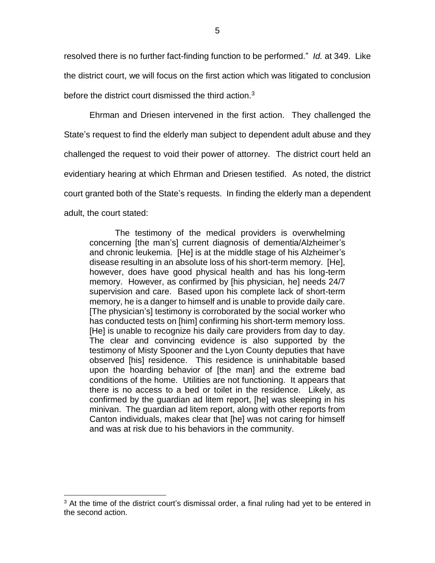resolved there is no further fact-finding function to be performed." *Id.* at 349. Like the district court, we will focus on the first action which was litigated to conclusion before the district court dismissed the third action. $3$ 

Ehrman and Driesen intervened in the first action.They challenged the State's request to find the elderly man subject to dependent adult abuse and they challenged the request to void their power of attorney. The district court held an evidentiary hearing at which Ehrman and Driesen testified. As noted, the district court granted both of the State's requests. In finding the elderly man a dependent adult, the court stated:

The testimony of the medical providers is overwhelming concerning [the man's] current diagnosis of dementia/Alzheimer's and chronic leukemia. [He] is at the middle stage of his Alzheimer's disease resulting in an absolute loss of his short-term memory. [He], however, does have good physical health and has his long-term memory. However, as confirmed by [his physician, he] needs 24/7 supervision and care. Based upon his complete lack of short-term memory, he is a danger to himself and is unable to provide daily care. [The physician's] testimony is corroborated by the social worker who has conducted tests on [him] confirming his short-term memory loss. [He] is unable to recognize his daily care providers from day to day. The clear and convincing evidence is also supported by the testimony of Misty Spooner and the Lyon County deputies that have observed [his] residence. This residence is uninhabitable based upon the hoarding behavior of [the man] and the extreme bad conditions of the home. Utilities are not functioning. It appears that there is no access to a bed or toilet in the residence. Likely, as confirmed by the guardian ad litem report, [he] was sleeping in his minivan. The guardian ad litem report, along with other reports from Canton individuals, makes clear that [he] was not caring for himself and was at risk due to his behaviors in the community.

 $\overline{a}$ 

<sup>&</sup>lt;sup>3</sup> At the time of the district court's dismissal order, a final ruling had yet to be entered in the second action.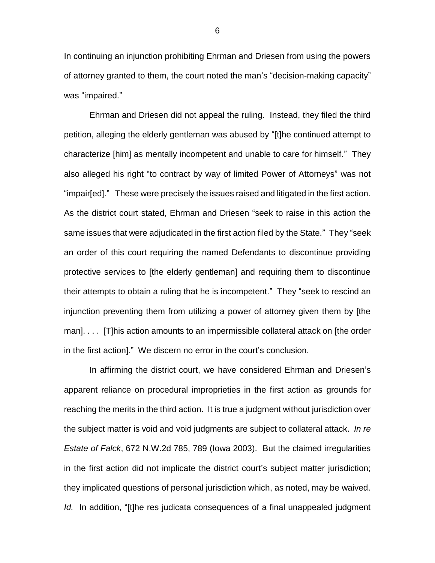In continuing an injunction prohibiting Ehrman and Driesen from using the powers of attorney granted to them, the court noted the man's "decision-making capacity" was "impaired."

Ehrman and Driesen did not appeal the ruling. Instead, they filed the third petition, alleging the elderly gentleman was abused by "[t]he continued attempt to characterize [him] as mentally incompetent and unable to care for himself." They also alleged his right "to contract by way of limited Power of Attorneys" was not "impair[ed]." These were precisely the issues raised and litigated in the first action. As the district court stated, Ehrman and Driesen "seek to raise in this action the same issues that were adjudicated in the first action filed by the State." They "seek an order of this court requiring the named Defendants to discontinue providing protective services to [the elderly gentleman] and requiring them to discontinue their attempts to obtain a ruling that he is incompetent." They "seek to rescind an injunction preventing them from utilizing a power of attorney given them by [the man]. . . . [T]his action amounts to an impermissible collateral attack on [the order in the first action]." We discern no error in the court's conclusion.

In affirming the district court, we have considered Ehrman and Driesen's apparent reliance on procedural improprieties in the first action as grounds for reaching the merits in the third action. It is true a judgment without jurisdiction over the subject matter is void and void judgments are subject to collateral attack. *In re Estate of Falck*, 672 N.W.2d 785, 789 (Iowa 2003). But the claimed irregularities in the first action did not implicate the district court's subject matter jurisdiction; they implicated questions of personal jurisdiction which, as noted, may be waived. *Id.* In addition, "[t]he res judicata consequences of a final unappealed judgment

6